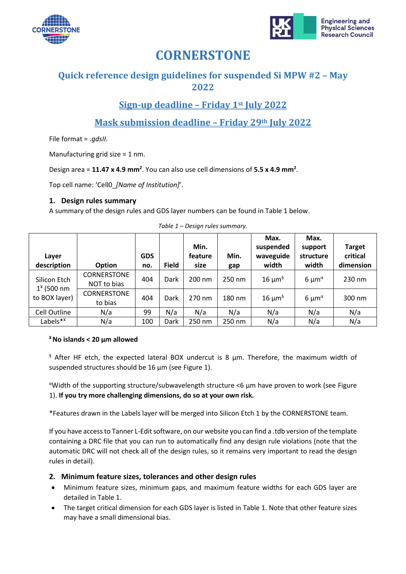



# **CORNERSTONE**

### **Quick reference design guidelines for suspended Si MPW #2 – May 2022**

## **Sign-up deadline – Friday 1st July 2022**

**Mask submission deadline – Friday 29th July 2022**

File format = *.gdsII*.

Manufacturing grid size = 1 nm.

Design area = **11.47 x 4.9 mm<sup>2</sup>** . You can also use cell dimensions of **5.5 x 4.9 mm<sup>2</sup>** .

Top cell name: 'Cell0\_*[Name of Institution]*'.

#### **1. Design rules summary**

<span id="page-0-0"></span>A summary of the design rules and GDS layer numbers can be found in [Table 1](#page-0-0) below.

| Layer<br>description                          | Option                            | <b>GDS</b><br>no. | <b>Field</b> | Min.<br>feature<br>size | Min.<br>gap | Max.<br>suspended<br>waveguide<br>width | Max.<br>support<br>structure<br>width    | <b>Target</b><br>critical<br>dimension |
|-----------------------------------------------|-----------------------------------|-------------------|--------------|-------------------------|-------------|-----------------------------------------|------------------------------------------|----------------------------------------|
| Silicon Etch<br>$14$ (500 nm<br>to BOX layer) | <b>CORNERSTONE</b><br>NOT to bias | 404               | Dark         | 200 nm                  | 250 nm      | $16 \mu m^5$                            | 6 $\mu$ m <sup><math>\alpha</math></sup> | 230 nm                                 |
|                                               | <b>CORNERSTONE</b><br>to bias     | 404               | Dark         | 270 nm                  | 180 nm      | $16 \mu m^5$                            | 6 $\mu$ m <sup><math>\alpha</math></sup> | 300 nm                                 |
| Cell Outline                                  | N/a                               | 99                | N/a          | N/a                     | N/a         | N/a                                     | N/a                                      | N/a                                    |
| Labels**                                      | N/a                               | 100               | Dark         | 250 nm                  | 250 nm      | N/a                                     | N/a                                      | N/a                                    |

*Table 1 – Design rules summary.*

#### **¥ No islands < 20 µm allowed**

 $\frac{1}{3}$  After HF etch, the expected lateral BOX undercut is 8  $\mu$ m. Therefore, the maximum width of suspended structures should be 16  $\mu$ m (see [Figure 1\)](#page-1-0).

<sup>α</sup>Width of the supporting structure/subwavelength structure <6 µm have proven to work (see [Figure](#page-1-0)  [1\)](#page-1-0). **If you try more challenging dimensions, do so at your own risk.** 

\*Features drawn in the Labels layer will be merged into Silicon Etch 1 by the CORNERSTONE team.

If you have access to Tanner L-Edit software, on our website you can find a .tdb version of the template containing a DRC file that you can run to automatically find any design rule violations (note that the automatic DRC will not check all of the design rules, so it remains very important to read the design rules in detail).

### **2. Minimum feature sizes, tolerances and other design rules**

- Minimum feature sizes, minimum gaps, and maximum feature widths for each GDS layer are detailed in [Table 1.](#page-0-0)
- The target critical dimension for each GDS layer is listed in [Table 1.](#page-0-0) Note that other feature sizes may have a small dimensional bias.